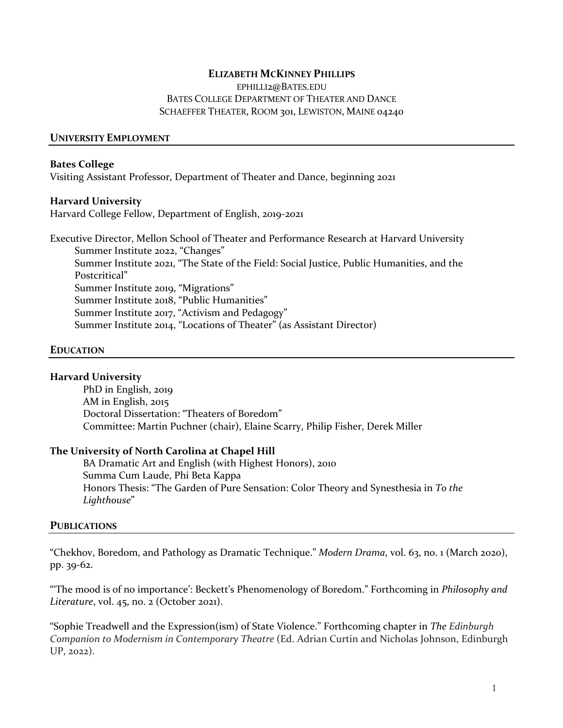# **ELIZABETH MCKINNEY PHILLIPS**

EPHILLI2@BATES.EDU BATES COLLEGE DEPARTMENT OF THEATER AND DANCE SCHAEFFER THEATER, ROOM 301, LEWISTON, MAINE 04240

## **UNIVERSITY EMPLOYMENT**

#### **Bates College**

Visiting Assistant Professor, Department of Theater and Dance, beginning 2021

#### **Harvard University**

Harvard College Fellow, Department of English, 2019-2021

Executive Director, Mellon School of Theater and Performance Research at Harvard University Summer Institute 2022, "Changes" Summer Institute 2021, "The State of the Field: Social Justice, Public Humanities, and the Postcritical" Summer Institute 2019, "Migrations" Summer Institute 2018, "Public Humanities" Summer Institute 2017, "Activism and Pedagogy" Summer Institute 2014, "Locations of Theater" (as Assistant Director)

#### **EDUCATION**

#### **Harvard University**

PhD in English, 2019 AM in English, 2015 Doctoral Dissertation: "Theaters of Boredom" Committee: Martin Puchner (chair), Elaine Scarry, Philip Fisher, Derek Miller

#### **The University of North Carolina at Chapel Hill**

BA Dramatic Art and English (with Highest Honors), 2010 Summa Cum Laude, Phi Beta Kappa Honors Thesis: "The Garden of Pure Sensation: Color Theory and Synesthesia in *To the Lighthouse*"

#### **PUBLICATIONS**

"Chekhov, Boredom, and Pathology as Dramatic Technique." *Modern Drama*, vol. 63, no. 1 (March 2020), pp. 39-62.

"'The mood is of no importance': Beckett's Phenomenology of Boredom." Forthcoming in *Philosophy and Literature*, vol. 45, no. 2 (October 2021).

"Sophie Treadwell and the Expression(ism) of State Violence." Forthcoming chapter in *The Edinburgh Companion to Modernism in Contemporary Theatre* (Ed. Adrian Curtin and Nicholas Johnson, Edinburgh UP, 2022).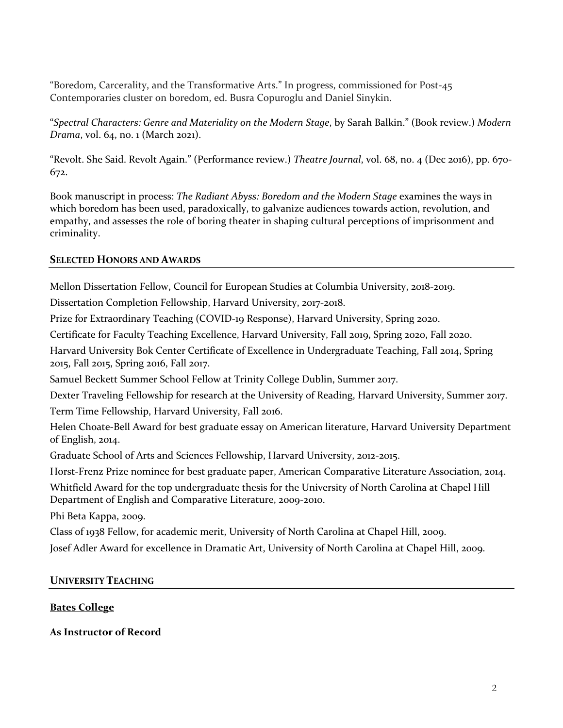"Boredom, Carcerality, and the Transformative Arts." In progress, commissioned for Post-45 Contemporaries cluster on boredom, ed. Busra Copuroglu and Daniel Sinykin.

"*Spectral Characters: Genre and Materiality on the Modern Stage*, by Sarah Balkin." (Book review.) *Modern Drama*, vol. 64, no. 1 (March 2021).

"Revolt. She Said. Revolt Again." (Performance review.) *Theatre Journal*, vol. 68, no. 4 (Dec 2016), pp. 670- 672.

Book manuscript in process: *The Radiant Abyss: Boredom and the Modern Stage* examines the ways in which boredom has been used, paradoxically, to galvanize audiences towards action, revolution, and empathy, and assesses the role of boring theater in shaping cultural perceptions of imprisonment and criminality.

# **SELECTED HONORS AND AWARDS**

Mellon Dissertation Fellow, Council for European Studies at Columbia University, 2018-2019.

Dissertation Completion Fellowship, Harvard University, 2017-2018.

Prize for Extraordinary Teaching (COVID-19 Response), Harvard University, Spring 2020.

Certificate for Faculty Teaching Excellence, Harvard University, Fall 2019, Spring 2020, Fall 2020.

Harvard University Bok Center Certificate of Excellence in Undergraduate Teaching, Fall 2014, Spring 2015, Fall 2015, Spring 2016, Fall 2017.

Samuel Beckett Summer School Fellow at Trinity College Dublin, Summer 2017.

Dexter Traveling Fellowship for research at the University of Reading, Harvard University, Summer 2017.

Term Time Fellowship, Harvard University, Fall 2016.

Helen Choate-Bell Award for best graduate essay on American literature, Harvard University Department of English, 2014.

Graduate School of Arts and Sciences Fellowship, Harvard University, 2012-2015.

Horst-Frenz Prize nominee for best graduate paper, American Comparative Literature Association, 2014.

Whitfield Award for the top undergraduate thesis for the University of North Carolina at Chapel Hill Department of English and Comparative Literature, 2009-2010.

Phi Beta Kappa, 2009.

Class of 1938 Fellow, for academic merit, University of North Carolina at Chapel Hill, 2009.

Josef Adler Award for excellence in Dramatic Art, University of North Carolina at Chapel Hill, 2009.

# **UNIVERSITY TEACHING**

# **Bates College**

**As Instructor of Record**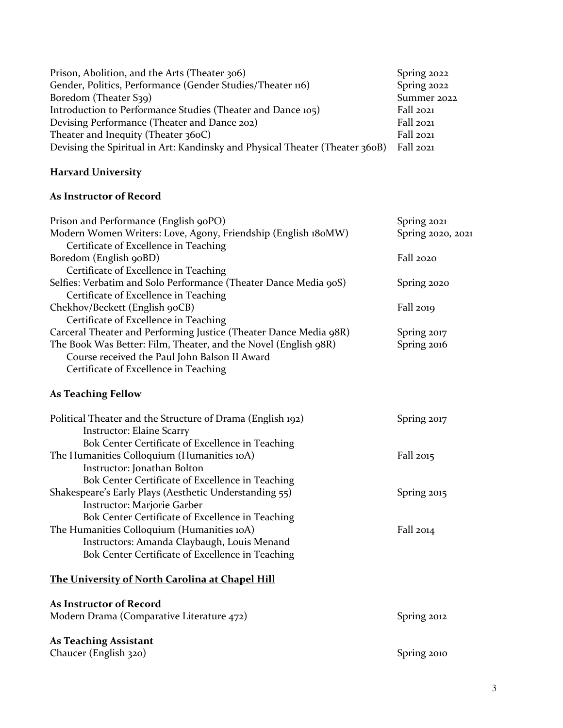| Prison, Abolition, and the Arts (Theater 306)                                | Spring 2022 |
|------------------------------------------------------------------------------|-------------|
| Gender, Politics, Performance (Gender Studies/Theater 116)                   | Spring 2022 |
| Boredom (Theater S39)                                                        | Summer 2022 |
| Introduction to Performance Studies (Theater and Dance 105)                  | Fall 2021   |
| Devising Performance (Theater and Dance 202)                                 | Fall 2021   |
| Theater and Inequity (Theater $360C$ )                                       | Fall 2021   |
| Devising the Spiritual in Art: Kandinsky and Physical Theater (Theater 360B) | Fall 2021   |

# **Harvard University**

# **As Instructor of Record**

| Spring 2021       |
|-------------------|
| Spring 2020, 2021 |
|                   |
| Fall 2020         |
|                   |
| Spring 2020       |
|                   |
| <b>Fall 2019</b>  |
|                   |
| Spring 2017       |
| Spring 2016       |
|                   |
|                   |
|                   |
| Spring 2017       |
|                   |
|                   |
| Fall 2015         |
|                   |
|                   |
| Spring 2015       |
|                   |
|                   |
| Fall 2014         |
|                   |
|                   |
|                   |
|                   |
| Spring 2012       |
|                   |
| Spring 2010       |
|                   |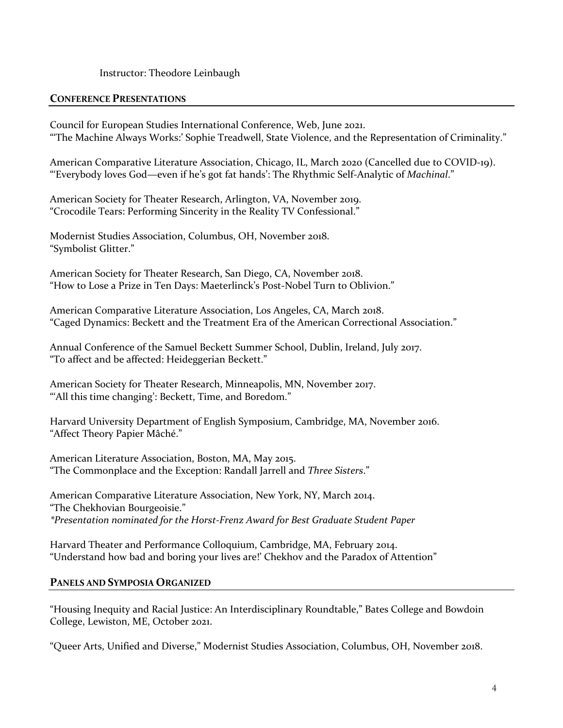# Instructor: Theodore Leinbaugh

# **CONFERENCE PRESENTATIONS**

Council for European Studies International Conference, Web, June 2021. "'The Machine Always Works:' Sophie Treadwell, State Violence, and the Representation of Criminality."

American Comparative Literature Association, Chicago, IL, March 2020 (Cancelled due to COVID-19). "'Everybody loves God—even if he's got fat hands': The Rhythmic Self-Analytic of *Machinal*."

American Society for Theater Research, Arlington, VA, November 2019. "Crocodile Tears: Performing Sincerity in the Reality TV Confessional."

Modernist Studies Association, Columbus, OH, November 2018. "Symbolist Glitter."

American Society for Theater Research, San Diego, CA, November 2018. "How to Lose a Prize in Ten Days: Maeterlinck's Post-Nobel Turn to Oblivion."

American Comparative Literature Association, Los Angeles, CA, March 2018. "Caged Dynamics: Beckett and the Treatment Era of the American Correctional Association."

Annual Conference of the Samuel Beckett Summer School, Dublin, Ireland, July 2017. "To affect and be affected: Heideggerian Beckett."

American Society for Theater Research, Minneapolis, MN, November 2017. "All this time changing': Beckett, Time, and Boredom."

Harvard University Department of English Symposium, Cambridge, MA, November 2016. "Affect Theory Papier Mâché."

American Literature Association, Boston, MA, May 2015. "The Commonplace and the Exception: Randall Jarrell and *Three Sisters*."

American Comparative Literature Association, New York, NY, March 2014. "The Chekhovian Bourgeoisie." *\*Presentation nominated for the Horst-Frenz Award for Best Graduate Student Paper*

Harvard Theater and Performance Colloquium, Cambridge, MA, February 2014. "Understand how bad and boring your lives are!' Chekhov and the Paradox of Attention"

#### **PANELS AND SYMPOSIA ORGANIZED**

"Housing Inequity and Racial Justice: An Interdisciplinary Roundtable," Bates College and Bowdoin College, Lewiston, ME, October 2021.

"Queer Arts, Unified and Diverse," Modernist Studies Association, Columbus, OH, November 2018.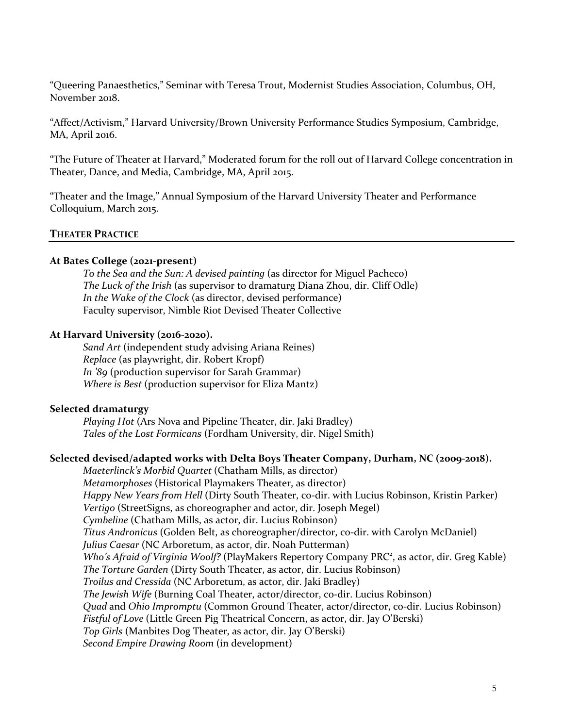"Queering Panaesthetics," Seminar with Teresa Trout, Modernist Studies Association, Columbus, OH, November 2018.

"Affect/Activism," Harvard University/Brown University Performance Studies Symposium, Cambridge, MA, April 2016.

"The Future of Theater at Harvard," Moderated forum for the roll out of Harvard College concentration in Theater, Dance, and Media, Cambridge, MA, April 2015.

"Theater and the Image," Annual Symposium of the Harvard University Theater and Performance Colloquium, March 2015.

# **THEATER PRACTICE**

# **At Bates College (2021-present)**

*To the Sea and the Sun: A devised painting* (as director for Miguel Pacheco) *The Luck of the Irish* (as supervisor to dramaturg Diana Zhou, dir. Cliff Odle) *In the Wake of the Clock* (as director, devised performance) Faculty supervisor, Nimble Riot Devised Theater Collective

#### **At Harvard University (2016-2020).**

*Sand Art* (independent study advising Ariana Reines) *Replace* (as playwright, dir. Robert Kropf) *In '89* (production supervisor for Sarah Grammar) *Where is Best* (production supervisor for Eliza Mantz)

## **Selected dramaturgy**

*Playing Hot* (Ars Nova and Pipeline Theater, dir. Jaki Bradley) *Tales of the Lost Formicans* (Fordham University, dir. Nigel Smith)

#### **Selected devised/adapted works with Delta Boys Theater Company, Durham, NC (2009-2018).**

*Maeterlinck's Morbid Quartet* (Chatham Mills, as director) *Metamorphoses* (Historical Playmakers Theater, as director) *Happy New Years from Hell* (Dirty South Theater, co-dir. with Lucius Robinson, Kristin Parker) *Vertigo* (StreetSigns, as choreographer and actor, dir. Joseph Megel) *Cymbeline* (Chatham Mills, as actor, dir. Lucius Robinson) *Titus Andronicus* (Golden Belt, as choreographer/director, co-dir. with Carolyn McDaniel) *Julius Caesar* (NC Arboretum, as actor, dir. Noah Putterman) Who's Afraid of Virginia Woolf? (PlayMakers Repertory Company PRC<sup>2</sup>, as actor, dir. Greg Kable) *The Torture Garden* (Dirty South Theater, as actor, dir. Lucius Robinson) *Troilus and Cressida* (NC Arboretum, as actor, dir. Jaki Bradley) *The Jewish Wife* (Burning Coal Theater, actor/director, co-dir. Lucius Robinson) *Quad* and *Ohio Impromptu* (Common Ground Theater, actor/director, co-dir. Lucius Robinson) *Fistful of Love* (Little Green Pig Theatrical Concern, as actor, dir. Jay O'Berski) *Top Girls* (Manbites Dog Theater, as actor, dir. Jay O'Berski) *Second Empire Drawing Room* (in development)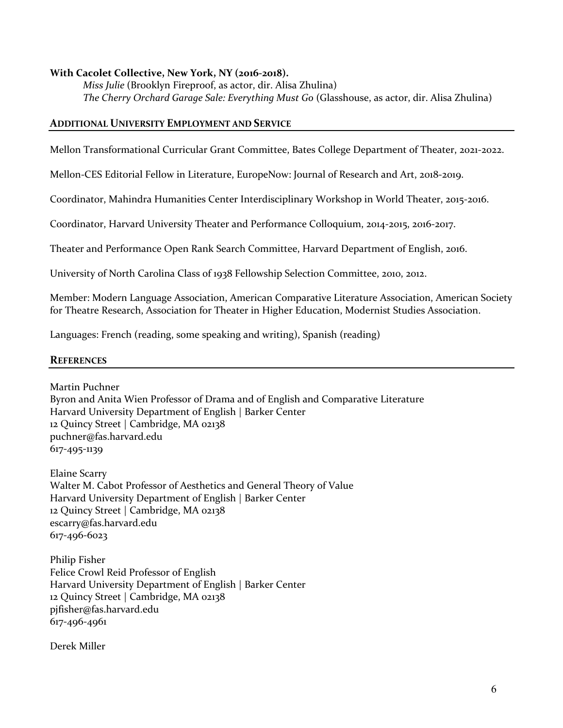# **With Cacolet Collective, New York, NY (2016-2018).**

*Miss Julie* (Brooklyn Fireproof, as actor, dir. Alisa Zhulina) *The Cherry Orchard Garage Sale: Everything Must Go* (Glasshouse, as actor, dir. Alisa Zhulina)

# **ADDITIONAL UNIVERSITY EMPLOYMENT AND SERVICE**

Mellon Transformational Curricular Grant Committee, Bates College Department of Theater, 2021-2022.

Mellon-CES Editorial Fellow in Literature, EuropeNow: Journal of Research and Art, 2018-2019.

Coordinator, Mahindra Humanities Center Interdisciplinary Workshop in World Theater, 2015-2016.

Coordinator, Harvard University Theater and Performance Colloquium, 2014-2015, 2016-2017.

Theater and Performance Open Rank Search Committee, Harvard Department of English, 2016.

University of North Carolina Class of 1938 Fellowship Selection Committee, 2010, 2012.

Member: Modern Language Association, American Comparative Literature Association, American Society for Theatre Research, Association for Theater in Higher Education, Modernist Studies Association.

Languages: French (reading, some speaking and writing), Spanish (reading)

#### **REFERENCES**

Martin Puchner Byron and Anita Wien Professor of Drama and of English and Comparative Literature Harvard University Department of English | Barker Center 12 Quincy Street | Cambridge, MA 02138 puchner@fas.harvard.edu 617-495-1139

Elaine Scarry Walter M. Cabot Professor of Aesthetics and General Theory of Value Harvard University Department of English | Barker Center 12 Quincy Street | Cambridge, MA 02138 escarry@fas.harvard.edu 617-496-6023

Philip Fisher Felice Crowl Reid Professor of English Harvard University Department of English | Barker Center 12 Quincy Street | Cambridge, MA 02138 pjfisher@fas.harvard.edu 617-496-4961

Derek Miller